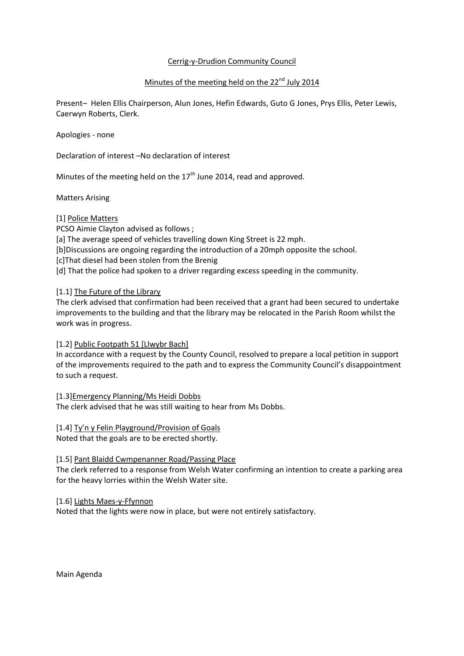## Cerrig-y-Drudion Community Council

# Minutes of the meeting held on the 22<sup>nd</sup> July 2014

Present– Helen Ellis Chairperson, Alun Jones, Hefin Edwards, Guto G Jones, Prys Ellis, Peter Lewis, Caerwyn Roberts, Clerk.

Apologies - none

Declaration of interest –No declaration of interest

Minutes of the meeting held on the  $17<sup>th</sup>$  June 2014, read and approved.

Matters Arising

## [1] Police Matters

PCSO Aimie Clayton advised as follows ; [a] The average speed of vehicles travelling down King Street is 22 mph. [b]Discussions are ongoing regarding the introduction of a 20mph opposite the school. [c]That diesel had been stolen from the Brenig [d] That the police had spoken to a driver regarding excess speeding in the community.

[1.1] The Future of the Library

The clerk advised that confirmation had been received that a grant had been secured to undertake improvements to the building and that the library may be relocated in the Parish Room whilst the work was in progress.

#### [1.2] Public Footpath 51 [Llwybr Bach]

In accordance with a request by the County Council, resolved to prepare a local petition in support of the improvements required to the path and to express the Community Council's disappointment to such a request.

[1.3]Emergency Planning/Ms Heidi Dobbs The clerk advised that he was still waiting to hear from Ms Dobbs.

[1.4] Ty'n y Felin Playground/Provision of Goals Noted that the goals are to be erected shortly.

#### [1.5] Pant Blaidd Cwmpenanner Road/Passing Place

The clerk referred to a response from Welsh Water confirming an intention to create a parking area for the heavy lorries within the Welsh Water site.

#### [1.6] Lights Maes-y-Ffynnon

Noted that the lights were now in place, but were not entirely satisfactory.

Main Agenda